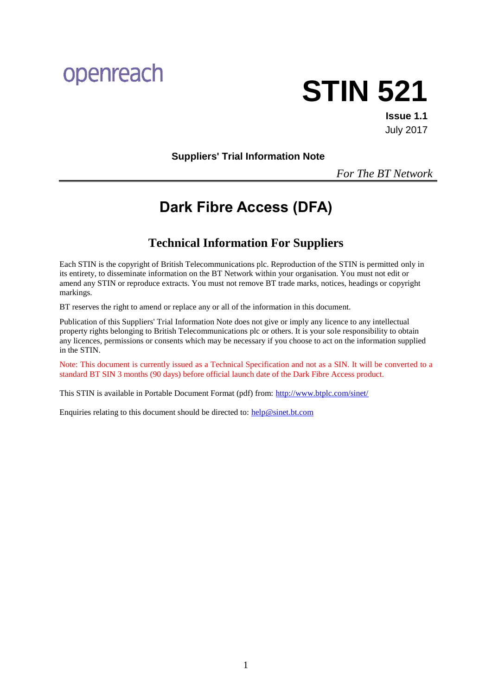# openreach



**Issue 1.1** July 2017

**Suppliers' Trial Information Note**

*For The BT Network*

# **Dark Fibre Access (DFA)**

# **Technical Information For Suppliers**

Each STIN is the copyright of British Telecommunications plc. Reproduction of the STIN is permitted only in its entirety, to disseminate information on the BT Network within your organisation. You must not edit or amend any STIN or reproduce extracts. You must not remove BT trade marks, notices, headings or copyright markings.

BT reserves the right to amend or replace any or all of the information in this document.

Publication of this Suppliers' Trial Information Note does not give or imply any licence to any intellectual property rights belonging to British Telecommunications plc or others. It is your sole responsibility to obtain any licences, permissions or consents which may be necessary if you choose to act on the information supplied in the STIN.

Note: This document is currently issued as a Technical Specification and not as a SIN. It will be converted to a standard BT SIN 3 months (90 days) before official launch date of the Dark Fibre Access product.

This STIN is available in Portable Document Format (pdf) from:<http://www.btplc.com/sinet/>

Enquiries relating to this document should be directed to: [help@sinet.bt.com](mailto:help@sinet.bt.com)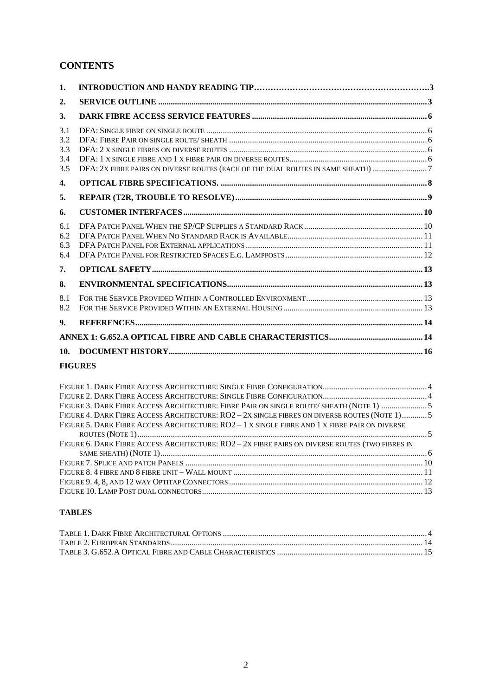# **CONTENTS**

| 1.  |                                                                                  |  |
|-----|----------------------------------------------------------------------------------|--|
| 2.  |                                                                                  |  |
| 3.  |                                                                                  |  |
| 3.1 |                                                                                  |  |
| 3.2 |                                                                                  |  |
| 3.3 |                                                                                  |  |
| 3.4 |                                                                                  |  |
| 3.5 | DFA: 2x FIBRE PAIRS ON DIVERSE ROUTES (EACH OF THE DUAL ROUTES IN SAME SHEATH) 7 |  |
| 4.  |                                                                                  |  |
| 5.  |                                                                                  |  |
| 6.  |                                                                                  |  |
| 6.1 |                                                                                  |  |
| 6.2 |                                                                                  |  |
| 6.3 |                                                                                  |  |
| 6.4 |                                                                                  |  |
| 7.  |                                                                                  |  |
| 8.  |                                                                                  |  |
| 8.1 |                                                                                  |  |
| 8.2 |                                                                                  |  |
| 9.  |                                                                                  |  |
|     |                                                                                  |  |
| 10. |                                                                                  |  |

#### **FIGURES**

| FIGURE 3. DARK FIBRE ACCESS ARCHITECTURE: FIBRE PAIR ON SINGLE ROUTE/ SHEATH (NOTE 1) 5         |  |
|-------------------------------------------------------------------------------------------------|--|
| FIGURE 4. DARK FIBRE ACCESS ARCHITECTURE: RO2 - 2X SINGLE FIBRES ON DIVERSE ROUTES (NOTE 1) 5   |  |
| FIGURE 5. DARK FIBRE ACCESS ARCHITECTURE: RO2 - 1 X SINGLE FIBRE AND 1 X FIBRE PAIR ON DIVERSE  |  |
|                                                                                                 |  |
| FIGURE 6. DARK FIBRE ACCESS ARCHITECTURE: RO2 - 2X FIBRE PAIRS ON DIVERSE ROUTES (TWO FIBRES IN |  |
|                                                                                                 |  |
|                                                                                                 |  |
|                                                                                                 |  |
|                                                                                                 |  |
|                                                                                                 |  |

# **TABLES**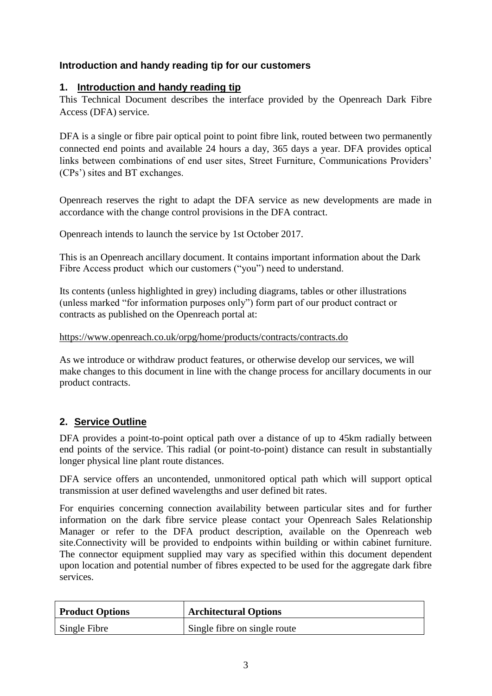# **Introduction and handy reading tip for our customers**

# **1. Introduction and handy reading tip**

This Technical Document describes the interface provided by the Openreach Dark Fibre Access (DFA) service.

DFA is a single or fibre pair optical point to point fibre link, routed between two permanently connected end points and available 24 hours a day, 365 days a year. DFA provides optical links between combinations of end user sites, Street Furniture, Communications Providers' (CPs') sites and BT exchanges.

Openreach reserves the right to adapt the DFA service as new developments are made in accordance with the change control provisions in the DFA contract.

Openreach intends to launch the service by 1st October 2017.

This is an Openreach ancillary document. It contains important information about the Dark Fibre Access product which our customers ("you") need to understand.

Its contents (unless highlighted in grey) including diagrams, tables or other illustrations (unless marked "for information purposes only") form part of our product contract or contracts as published on the Openreach portal at:

<https://www.openreach.co.uk/orpg/home/products/contracts/contracts.do>

As we introduce or withdraw product features, or otherwise develop our services, we will make changes to this document in line with the change process for ancillary documents in our product contracts.

# **2. Service Outline**

DFA provides a point-to-point optical path over a distance of up to 45km radially between end points of the service. This radial (or point-to-point) distance can result in substantially longer physical line plant route distances.

DFA service offers an uncontended, unmonitored optical path which will support optical transmission at user defined wavelengths and user defined bit rates.

For enquiries concerning connection availability between particular sites and for further information on the dark fibre service please contact your Openreach Sales Relationship Manager or refer to the DFA product description, available on the Openreach web site.Connectivity will be provided to endpoints within building or within cabinet furniture. The connector equipment supplied may vary as specified within this document dependent upon location and potential number of fibres expected to be used for the aggregate dark fibre services.

| <b>Product Options</b> | <b>Architectural Options</b> |
|------------------------|------------------------------|
| Single Fibre           | Single fibre on single route |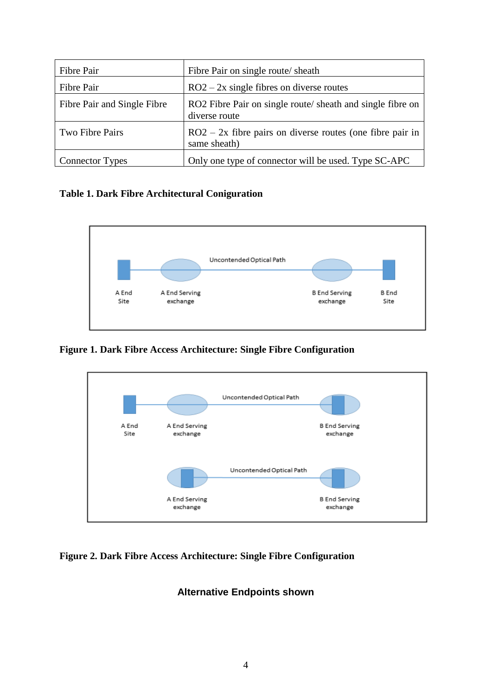| Fibre Pair                  | Fibre Pair on single route/ sheath                                          |
|-----------------------------|-----------------------------------------------------------------------------|
| Fibre Pair                  | $RO2 - 2x$ single fibres on diverse routes                                  |
| Fibre Pair and Single Fibre | RO2 Fibre Pair on single route/ sheath and single fibre on<br>diverse route |
| Two Fibre Pairs             | $RO2 - 2x$ fibre pairs on diverse routes (one fibre pair in<br>same sheath) |
| <b>Connector Types</b>      | Only one type of connector will be used. Type SC-APC                        |

# **Table 1. Dark Fibre Architectural Coniguration**



**Figure 1. Dark Fibre Access Architecture: Single Fibre Configuration**



**Figure 2. Dark Fibre Access Architecture: Single Fibre Configuration**

# **Alternative Endpoints shown**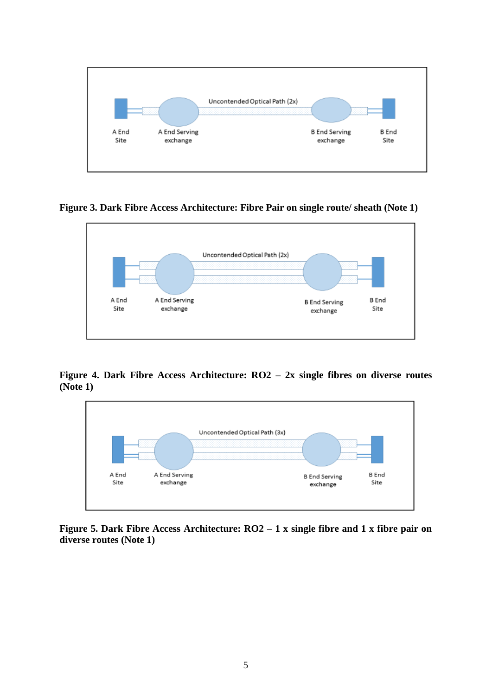

**Figure 3. Dark Fibre Access Architecture: Fibre Pair on single route/ sheath (Note 1)**



**Figure 4. Dark Fibre Access Architecture: RO2 – 2x single fibres on diverse routes (Note 1)**



**Figure 5. Dark Fibre Access Architecture: RO2 – 1 x single fibre and 1 x fibre pair on diverse routes (Note 1)**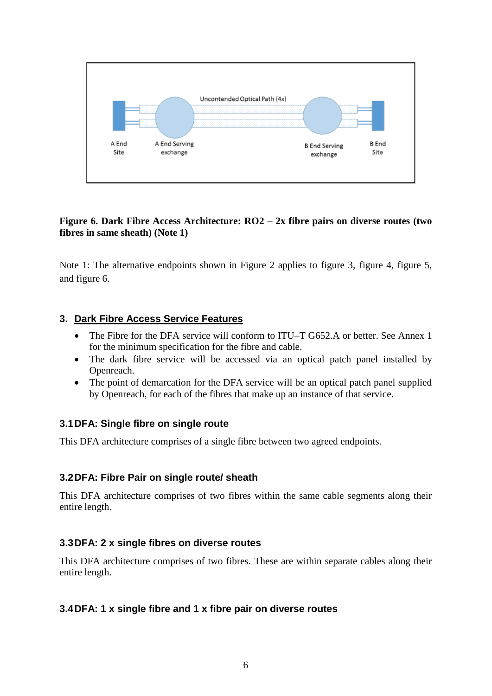

# **Figure 6. Dark Fibre Access Architecture: RO2 – 2x fibre pairs on diverse routes (two fibres in same sheath) (Note 1)**

Note 1: The alternative endpoints shown in Figure 2 applies to figure 3, figure 4, figure 5, and figure 6.

# **3. Dark Fibre Access Service Features**

- The Fibre for the DFA service will conform to ITU–T G652.A or better. See Annex 1 for the minimum specification for the fibre and cable.
- The dark fibre service will be accessed via an optical patch panel installed by Openreach.
- The point of demarcation for the DFA service will be an optical patch panel supplied by Openreach, for each of the fibres that make up an instance of that service.

# **3.1DFA: Single fibre on single route**

This DFA architecture comprises of a single fibre between two agreed endpoints.

# **3.2DFA: Fibre Pair on single route/ sheath**

This DFA architecture comprises of two fibres within the same cable segments along their entire length.

# **3.3DFA: 2 x single fibres on diverse routes**

This DFA architecture comprises of two fibres. These are within separate cables along their entire length.

# **3.4DFA: 1 x single fibre and 1 x fibre pair on diverse routes**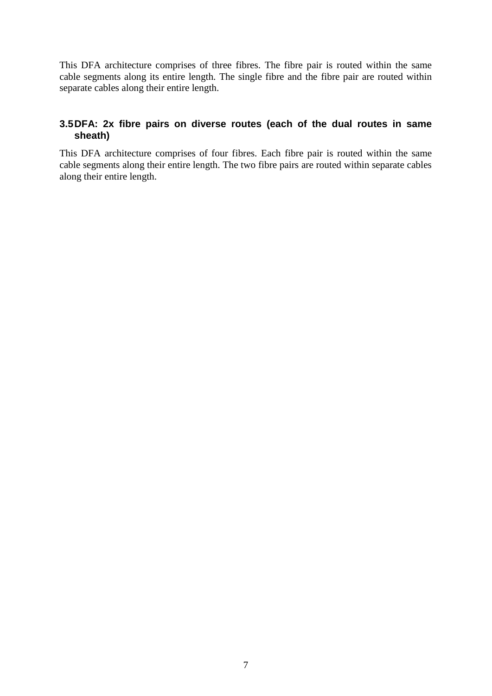This DFA architecture comprises of three fibres. The fibre pair is routed within the same cable segments along its entire length. The single fibre and the fibre pair are routed within separate cables along their entire length.

# **3.5DFA: 2x fibre pairs on diverse routes (each of the dual routes in same sheath)**

This DFA architecture comprises of four fibres. Each fibre pair is routed within the same cable segments along their entire length. The two fibre pairs are routed within separate cables along their entire length.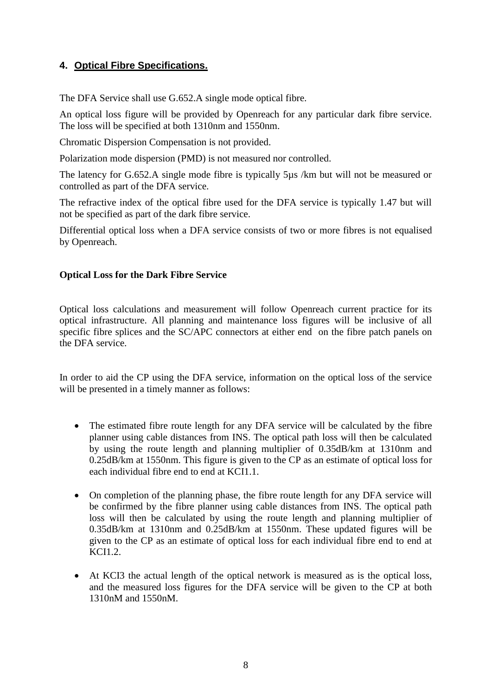# **4. Optical Fibre Specifications.**

The DFA Service shall use G.652.A single mode optical fibre.

An optical loss figure will be provided by Openreach for any particular dark fibre service. The loss will be specified at both 1310nm and 1550nm.

Chromatic Dispersion Compensation is not provided.

Polarization mode dispersion (PMD) is not measured nor controlled.

The latency for G.652.A single mode fibre is typically 5µs /km but will not be measured or controlled as part of the DFA service.

The refractive index of the optical fibre used for the DFA service is typically 1.47 but will not be specified as part of the dark fibre service.

Differential optical loss when a DFA service consists of two or more fibres is not equalised by Openreach.

# **Optical Loss for the Dark Fibre Service**

Optical loss calculations and measurement will follow Openreach current practice for its optical infrastructure. All planning and maintenance loss figures will be inclusive of all specific fibre splices and the SC/APC connectors at either end on the fibre patch panels on the DFA service.

In order to aid the CP using the DFA service, information on the optical loss of the service will be presented in a timely manner as follows:

- The estimated fibre route length for any DFA service will be calculated by the fibre planner using cable distances from INS. The optical path loss will then be calculated by using the route length and planning multiplier of 0.35dB/km at 1310nm and 0.25dB/km at 1550nm. This figure is given to the CP as an estimate of optical loss for each individual fibre end to end at KCI1.1.
- On completion of the planning phase, the fibre route length for any DFA service will be confirmed by the fibre planner using cable distances from INS. The optical path loss will then be calculated by using the route length and planning multiplier of 0.35dB/km at 1310nm and 0.25dB/km at 1550nm. These updated figures will be given to the CP as an estimate of optical loss for each individual fibre end to end at KCI1.2.
- At KCI3 the actual length of the optical network is measured as is the optical loss, and the measured loss figures for the DFA service will be given to the CP at both 1310nM and 1550nM.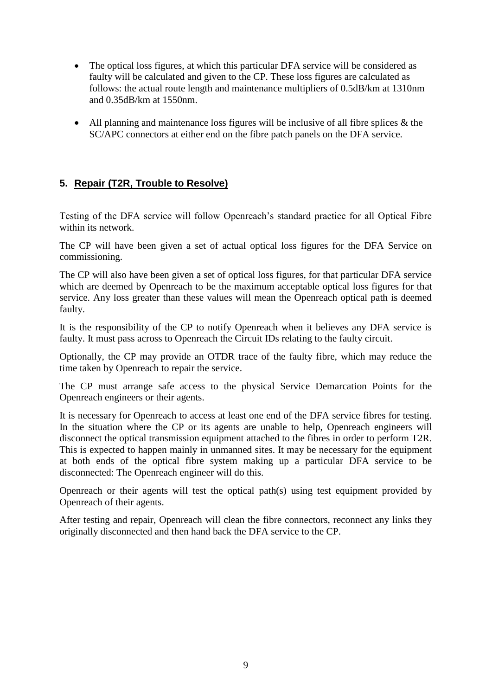- The optical loss figures, at which this particular DFA service will be considered as faulty will be calculated and given to the CP. These loss figures are calculated as follows: the actual route length and maintenance multipliers of 0.5dB/km at 1310nm and 0.35dB/km at 1550nm.
- All planning and maintenance loss figures will be inclusive of all fibre splices  $\&$  the SC/APC connectors at either end on the fibre patch panels on the DFA service.

# **5. Repair (T2R, Trouble to Resolve)**

Testing of the DFA service will follow Openreach's standard practice for all Optical Fibre within its network.

The CP will have been given a set of actual optical loss figures for the DFA Service on commissioning.

The CP will also have been given a set of optical loss figures, for that particular DFA service which are deemed by Openreach to be the maximum acceptable optical loss figures for that service. Any loss greater than these values will mean the Openreach optical path is deemed faulty.

It is the responsibility of the CP to notify Openreach when it believes any DFA service is faulty. It must pass across to Openreach the Circuit IDs relating to the faulty circuit.

Optionally, the CP may provide an OTDR trace of the faulty fibre, which may reduce the time taken by Openreach to repair the service.

The CP must arrange safe access to the physical Service Demarcation Points for the Openreach engineers or their agents.

It is necessary for Openreach to access at least one end of the DFA service fibres for testing. In the situation where the CP or its agents are unable to help, Openreach engineers will disconnect the optical transmission equipment attached to the fibres in order to perform T2R. This is expected to happen mainly in unmanned sites. It may be necessary for the equipment at both ends of the optical fibre system making up a particular DFA service to be disconnected: The Openreach engineer will do this.

Openreach or their agents will test the optical path(s) using test equipment provided by Openreach of their agents.

After testing and repair, Openreach will clean the fibre connectors, reconnect any links they originally disconnected and then hand back the DFA service to the CP.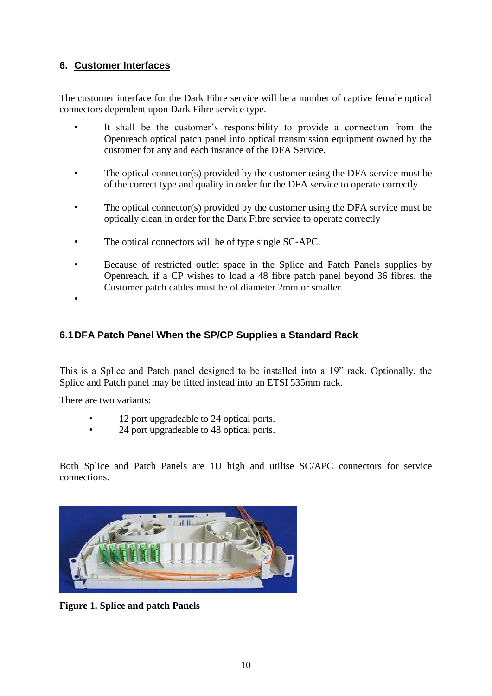# **6. Customer Interfaces**

The customer interface for the Dark Fibre service will be a number of captive female optical connectors dependent upon Dark Fibre service type.

- It shall be the customer's responsibility to provide a connection from the Openreach optical patch panel into optical transmission equipment owned by the customer for any and each instance of the DFA Service.
- The optical connector(s) provided by the customer using the DFA service must be of the correct type and quality in order for the DFA service to operate correctly.
- The optical connector(s) provided by the customer using the DFA service must be optically clean in order for the Dark Fibre service to operate correctly
- The optical connectors will be of type single SC-APC.
- Because of restricted outlet space in the Splice and Patch Panels supplies by Openreach, if a CP wishes to load a 48 fibre patch panel beyond 36 fibres, the Customer patch cables must be of diameter 2mm or smaller.

# **6.1DFA Patch Panel When the SP/CP Supplies a Standard Rack**

This is a Splice and Patch panel designed to be installed into a 19" rack. Optionally, the Splice and Patch panel may be fitted instead into an ETSI 535mm rack.

There are two variants:

•

- 12 port upgradeable to 24 optical ports.
- 24 port upgradeable to 48 optical ports.

Both Splice and Patch Panels are 1U high and utilise SC/APC connectors for service connections.



**Figure 1. Splice and patch Panels**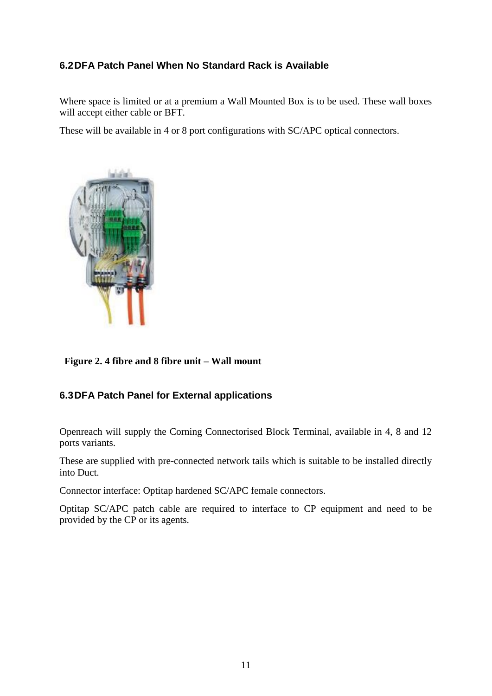# **6.2DFA Patch Panel When No Standard Rack is Available**

Where space is limited or at a premium a Wall Mounted Box is to be used. These wall boxes will accept either cable or BFT.

These will be available in 4 or 8 port configurations with SC/APC optical connectors.



 **Figure 2. 4 fibre and 8 fibre unit – Wall mount** 

# **6.3DFA Patch Panel for External applications**

Openreach will supply the Corning Connectorised Block Terminal, available in 4, 8 and 12 ports variants.

These are supplied with pre-connected network tails which is suitable to be installed directly into Duct.

Connector interface: Optitap hardened SC/APC female connectors.

Optitap SC/APC patch cable are required to interface to CP equipment and need to be provided by the CP or its agents.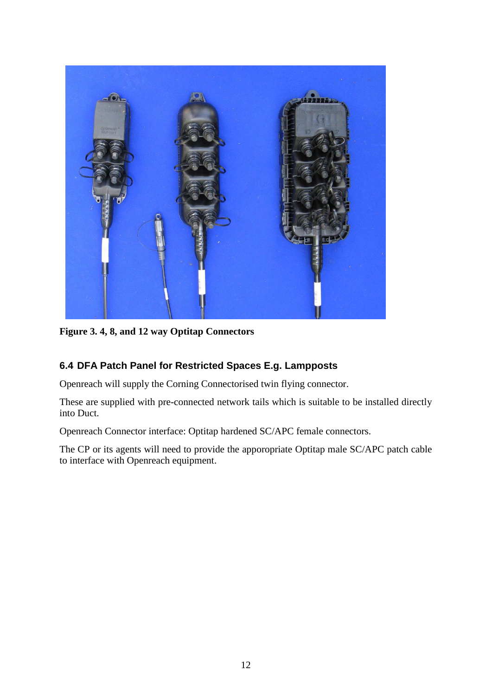

**Figure 3. 4, 8, and 12 way Optitap Connectors**

# **6.4 DFA Patch Panel for Restricted Spaces E.g. Lampposts**

Openreach will supply the Corning Connectorised twin flying connector.

These are supplied with pre-connected network tails which is suitable to be installed directly into Duct.

Openreach Connector interface: Optitap hardened SC/APC female connectors.

The CP or its agents will need to provide the apporopriate Optitap male SC/APC patch cable to interface with Openreach equipment.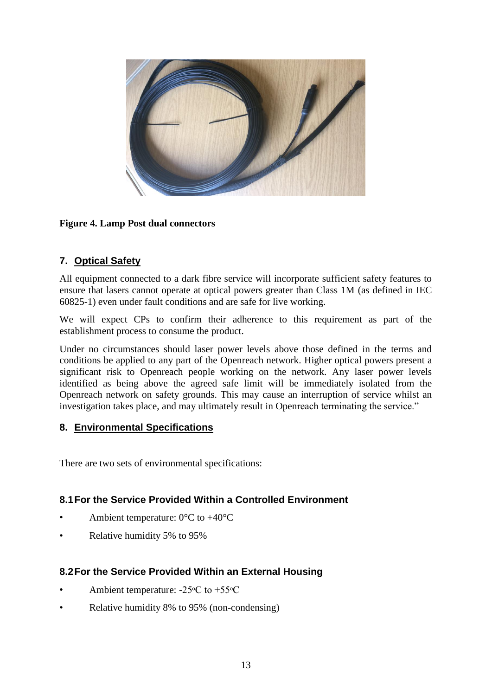

# **Figure 4. Lamp Post dual connectors**

# **7. Optical Safety**

All equipment connected to a dark fibre service will incorporate sufficient safety features to ensure that lasers cannot operate at optical powers greater than Class 1M (as defined in IEC 60825-1) even under fault conditions and are safe for live working.

We will expect CPs to confirm their adherence to this requirement as part of the establishment process to consume the product.

Under no circumstances should laser power levels above those defined in the terms and conditions be applied to any part of the Openreach network. Higher optical powers present a significant risk to Openreach people working on the network. Any laser power levels identified as being above the agreed safe limit will be immediately isolated from the Openreach network on safety grounds. This may cause an interruption of service whilst an investigation takes place, and may ultimately result in Openreach terminating the service."

# **8. Environmental Specifications**

There are two sets of environmental specifications:

# **8.1For the Service Provided Within a Controlled Environment**

- Ambient temperature:  $0^{\circ}$ C to  $+40^{\circ}$ C
- Relative humidity 5% to 95%

# **8.2For the Service Provided Within an External Housing**

- Ambient temperature:  $-25\degree C$  to  $+55\degree C$
- Relative humidity 8% to 95% (non-condensing)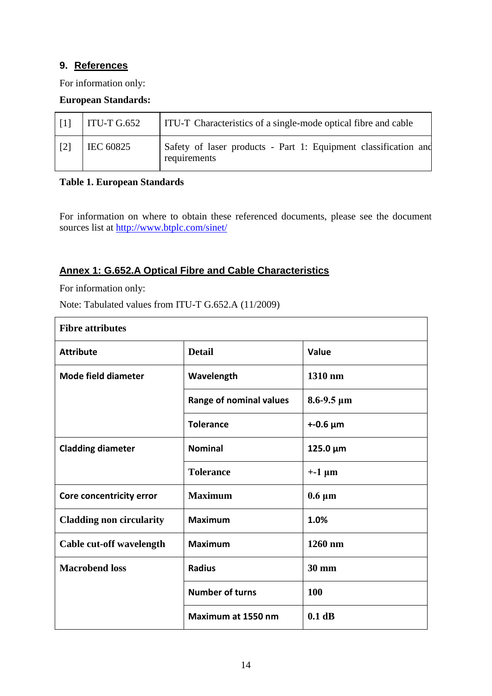# **9. References**

For information only:

#### **European Standards:**

| $\lceil 1 \rceil$ | $\vert$ ITU-T G.652 | <b>ITU-T</b> Characteristics of a single-mode optical fibre and cable           |
|-------------------|---------------------|---------------------------------------------------------------------------------|
| $\lceil 2 \rceil$ | EC 60825            | Safety of laser products - Part 1: Equipment classification and<br>requirements |

#### **Table 1. European Standards**

For information on where to obtain these referenced documents, please see the document sources list at<http://www.btplc.com/sinet/>

# **Annex 1: G.652.A Optical Fibre and Cable Characteristics**

For information only:

Note: Tabulated values from ITU-T G.652.A (11/2009)

| <b>Fibre attributes</b>         |                         |                     |  |
|---------------------------------|-------------------------|---------------------|--|
| <b>Attribute</b>                | <b>Detail</b>           | <b>Value</b>        |  |
| Mode field diameter             | Wavelength              | 1310 nm             |  |
|                                 | Range of nominal values | $8.6 - 9.5 \,\mu m$ |  |
|                                 | <b>Tolerance</b>        | $+ -0.6 \mu m$      |  |
| <b>Cladding diameter</b>        | <b>Nominal</b>          | $125.0 \mu m$       |  |
|                                 | <b>Tolerance</b>        | $+ -1 \mu m$        |  |
| Core concentricity error        | <b>Maximum</b>          | $0.6 \mu m$         |  |
| <b>Cladding non circularity</b> | <b>Maximum</b>          | 1.0%                |  |
| Cable cut-off wavelength        | <b>Maximum</b>          | 1260 nm             |  |
| <b>Macrobend loss</b>           | <b>Radius</b>           | <b>30 mm</b>        |  |
|                                 | <b>Number of turns</b>  | <b>100</b>          |  |
|                                 | Maximum at 1550 nm      | $0.1$ dB            |  |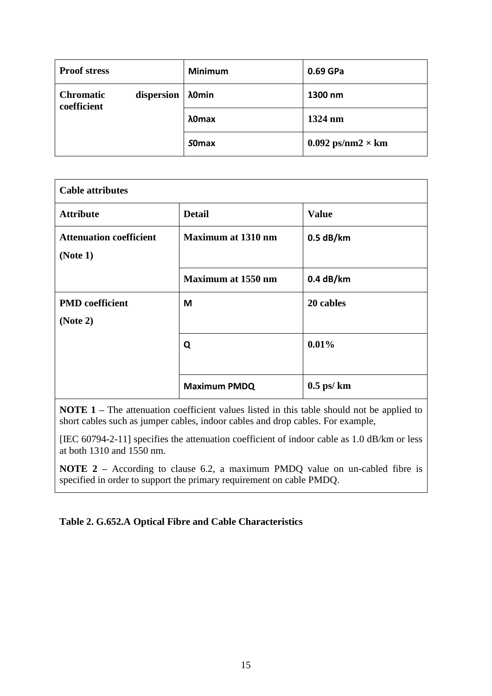| <b>Proof stress</b>             |            | <b>Minimum</b> | 0.69 GPa                   |
|---------------------------------|------------|----------------|----------------------------|
| <b>Chromatic</b><br>coefficient | dispersion | λ0min          | 1300 nm                    |
|                                 |            | λ0max          | 1324 nm                    |
|                                 |            | <b>SOmax</b>   | $0.092$ ps/nm2 $\times$ km |

| <b>Cable attributes</b>                                                 |                     |                |
|-------------------------------------------------------------------------|---------------------|----------------|
| <b>Attribute</b>                                                        | <b>Detail</b>       | <b>Value</b>   |
| <b>Maximum at 1310 nm</b><br><b>Attenuation coefficient</b><br>(Note 1) |                     | $0.5$ dB/km    |
|                                                                         | Maximum at 1550 nm  | 0.4 dB/km      |
| <b>PMD</b> coefficient<br>(Note 2)                                      | M                   | 20 cables      |
|                                                                         | Q                   | 0.01%          |
|                                                                         | <b>Maximum PMDQ</b> | $0.5$ ps/ $km$ |

**NOTE 1** – The attenuation coefficient values listed in this table should not be applied to short cables such as jumper cables, indoor cables and drop cables. For example,

[IEC 60794-2-11] specifies the attenuation coefficient of indoor cable as 1.0 dB/km or less at both 1310 and 1550 nm.

**NOTE 2** – According to clause 6.2, a maximum PMDQ value on un-cabled fibre is specified in order to support the primary requirement on cable PMDQ.

# **Table 2. G.652.A Optical Fibre and Cable Characteristics**